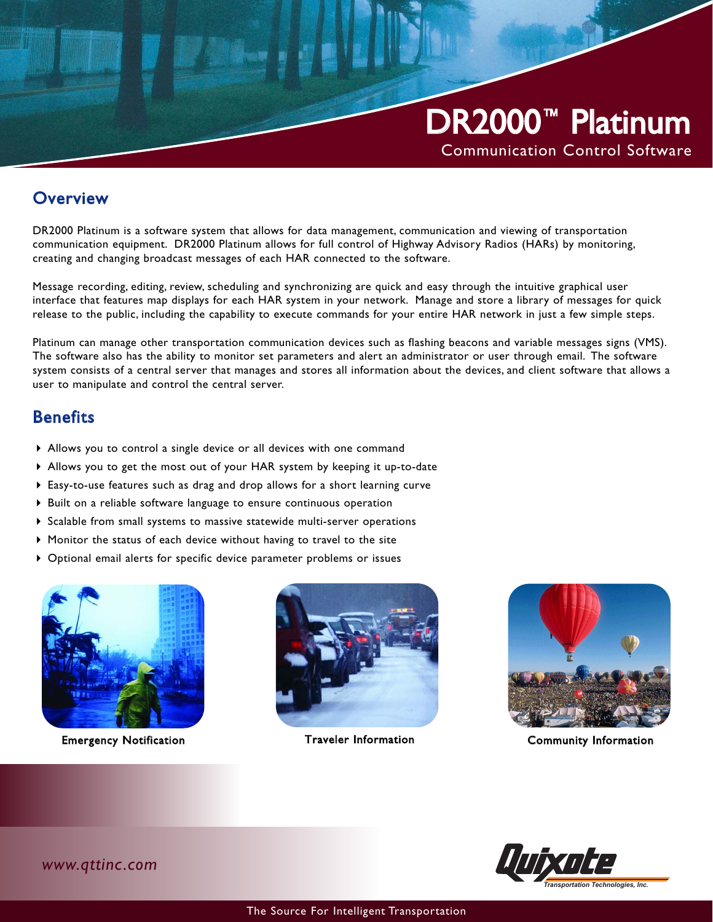

#### **Overview**

DR2000 Platinum is a software system that allows for data management, communication and viewing of transportation communication equipment. DR2000 Platinum allows for full control of Highway Advisory Radios (HARs) by monitoring, creating and changing broadcast messages of each HAR connected to the software.

Message recording, editing, review, scheduling and synchronizing are quick and easy through the intuitive graphical user interface that features map displays for each HAR system in your network. Manage and store a library of messages for quick release to the public, including the capability to execute commands for your entire HAR network in just a few simple steps.

Platinum can manage other transportation communication devices such as flashing beacons and variable messages signs (VMS). The software also has the ability to monitor set parameters and alert an administrator or user through email. The software system consists of a central server that manages and stores all information about the devices, and client software that allows a user to manipulate and control the central server.

## **Benefits**

- Allows you to control a single device or all devices with one command
- Allows you to get the most out of your HAR system by keeping it up-to-date
- Easy-to-use features such as drag and drop allows for a short learning curve
- Built on a reliable software language to ensure continuous operation
- $\triangleright$  Scalable from small systems to massive statewide multi-server operations
- Monitor the status of each device without having to travel to the site
- Optional email alerts for specific device parameter problems or issues



Emergency Notification Traveler Information Community Information









*www.qttinc.com*